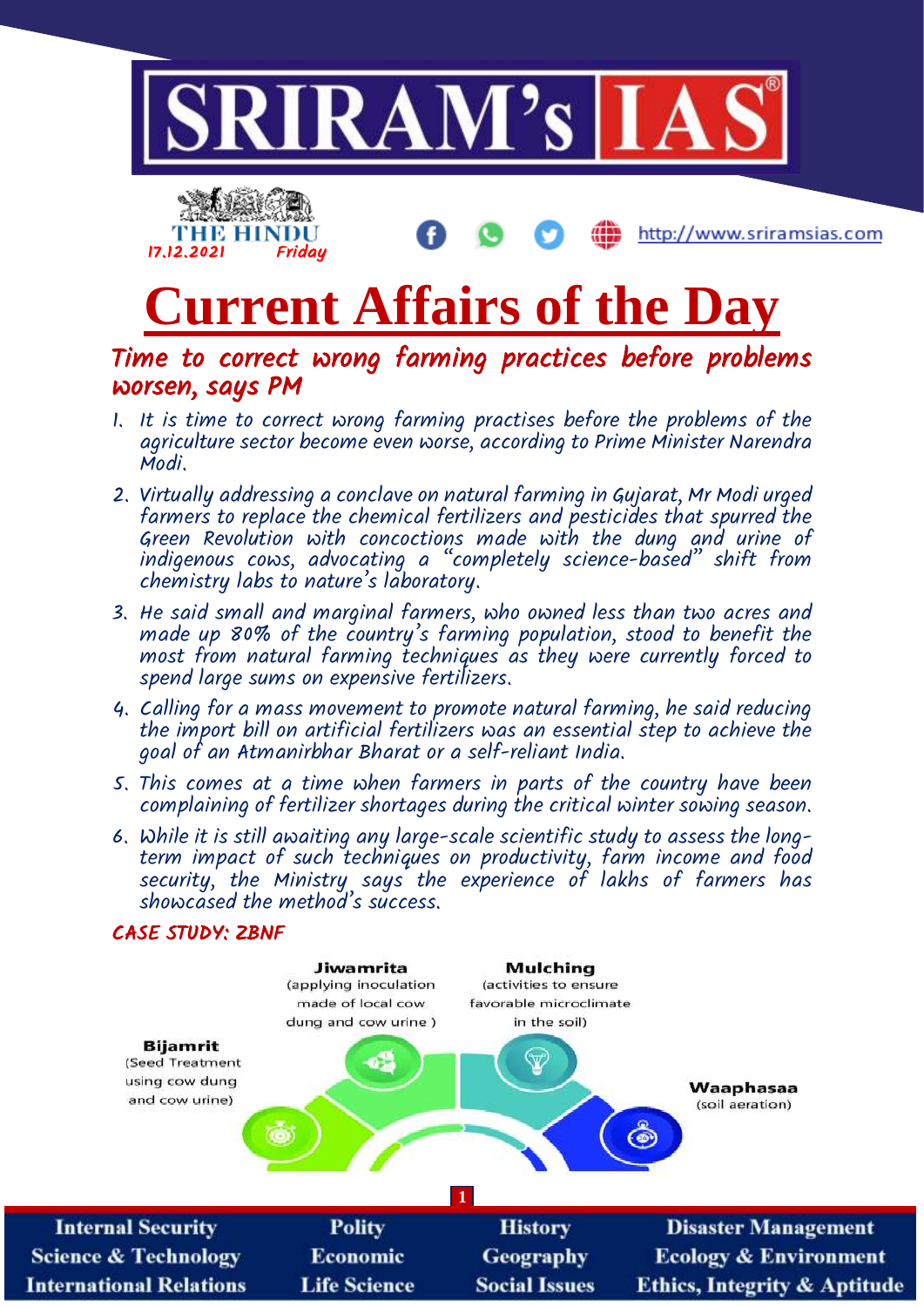

http://www.sriramsias.com



Time to correct wrong farming practices before problems worsen, says PM

- 1. It is time to correct wrong farming practises before the problems of the agriculture sector become even worse, according to Prime Minister Narendra Modi.
- 2. Virtually addressing a conclave on natural farming in Gujarat, Mr Modi urged farmers to replace the chemical fertilizers and pesticides that spurred the Green Revolution with concoctions made with the dung and urine of indigenous cows, advocating a "completely science-based" shift from chemistry labs to nature's laboratory.
- 3. He said small and marginal farmers, who owned less than two acres and made up 80% of the country's farming population, stood to benefit the most from natural farming techniques as they were currently forced to spend large sums on expensive fertilizers.
- 4. Calling for a mass movement to promote natural farming, he said reducing the import bill on artificial fertilizers was an essential step to achieve the goal of an Atmanirbhar Bharat or a self-reliant India.
- 5. This comes at a time when farmers in parts of the country have been complaining of fertilizer shortages during the critical winter sowing season.
- 6. While it is still awaiting any large-scale scientific study to assess the longterm impact of such techniques on productivity, farm income and food security, the Ministry says the experience of lakhs of farmers has showcased the method's success.



17.12.2021 Friday

THE HINDU

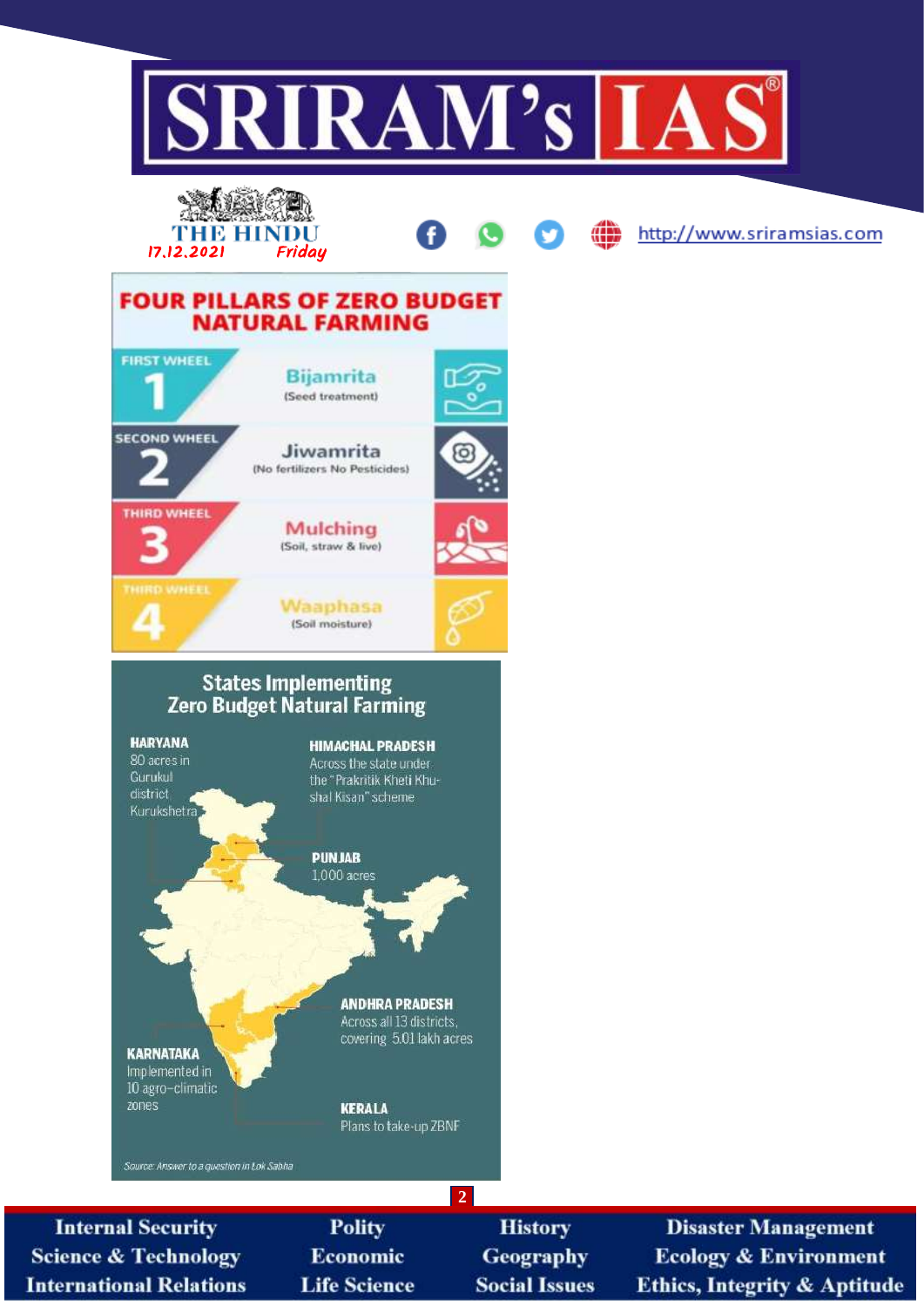

**Science & Technology International Relations** 

**Economic Life Science** 

Geography **Social Issues** 

**Ecology & Environment Ethics, Integrity & Aptitude**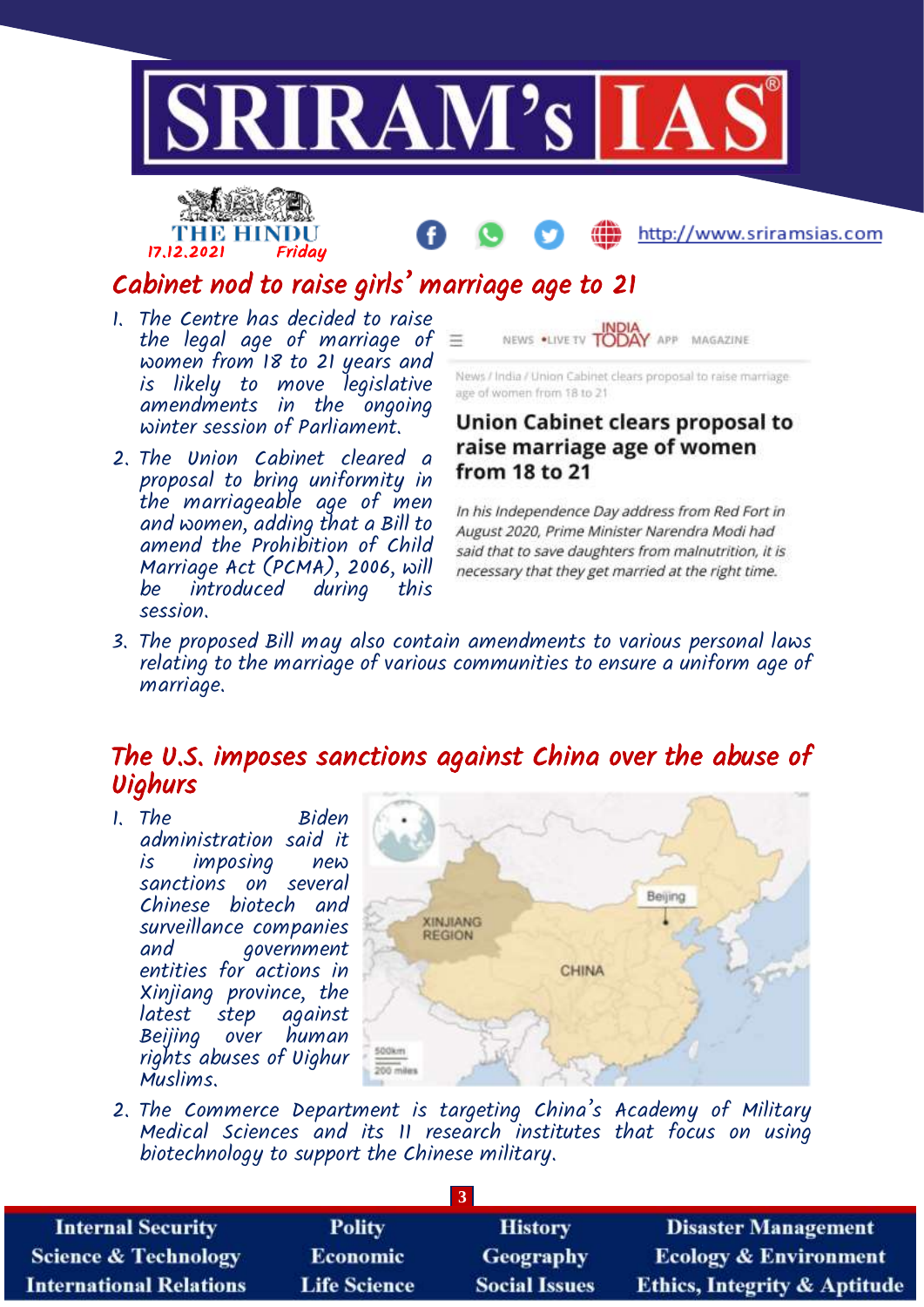





## Cabinet nod to raise girls' marriage age to 21

- 1. The Centre has decided to raise the legal age of marriage of  $\equiv$ women from 18 to 21 years and is likely to move legislative amendments in the ongoing winter session of Parliament.
- 2. The Union Cabinet cleared a proposal to bring uniformity in the marriageable age of men and women, adding that a Bill to amend the Prohibition of Child Marriage Act (PCMA), 2006, will introduced during session.



News / India / Union Cabinet clears proposal to raise marriageage of women from 18 to 21

## Union Cabinet clears proposal to raise marriage age of women from 18 to 21

In his Independence Day address from Red Fort in August 2020, Prime Minister Narendra Modi had said that to save daughters from malnutrition, it is necessary that they get married at the right time.

3. The proposed Bill may also contain amendments to various personal laws relating to the marriage of various communities to ensure a uniform age of marriage.

## The U.S. imposes sanctions against China over the abuse of Uighurs

1. The Biden administration said it is imposing new sanctions on several Chinese biotech and surveillance companies and government entities for actions in Xinjiang province, the latest step against Beijing over human rights abuses of Uighur Muslims.



2. The Commerce Department is targeting China's Academy of Military Medical Sciences and its II research institutes that focus on using biotechnology to support the Chinese military.

| <b>Internal Security</b>        | <b>Polity</b>       | <b>History</b>       | <b>Disaster Management</b>              |  |  |  |
|---------------------------------|---------------------|----------------------|-----------------------------------------|--|--|--|
| <b>Science &amp; Technology</b> | <b>Economic</b>     | <b>Geography</b>     | <b>Ecology &amp; Environment</b>        |  |  |  |
| <b>International Relations</b>  | <b>Life Science</b> | <b>Social Issues</b> | <b>Ethics, Integrity &amp; Aptitude</b> |  |  |  |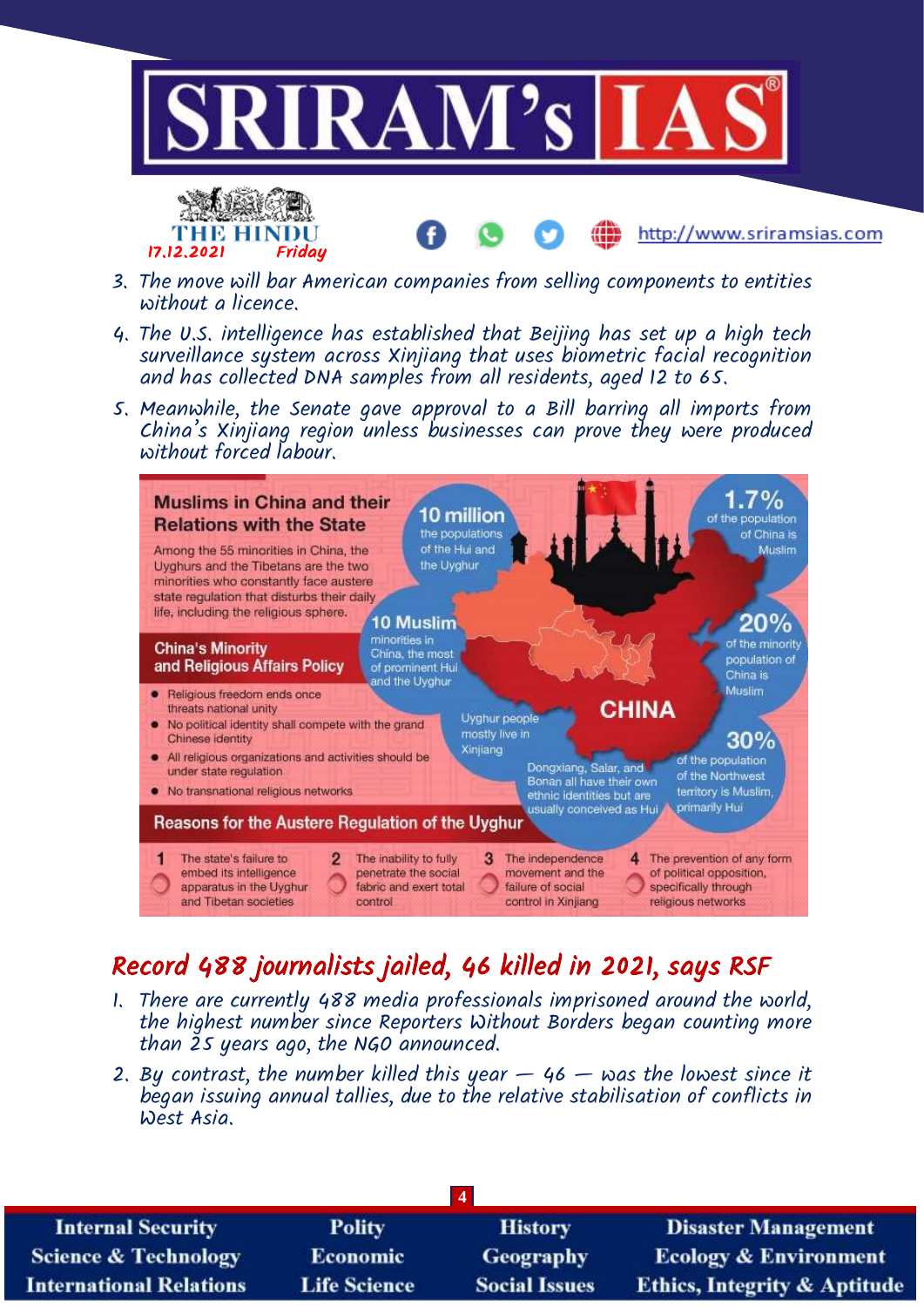

- 3. The move will bar American companies from selling components to entities without a licence.
- 4. The U.S. intelligence has established that Beijing has set up a high tech surveillance system across Xinjiang that uses biometric facial recognition and has collected DNA samples from all residents, aged 12 to 65.
- 5. Meanwhile, the Senate gave approval to a Bill barring all imports from China's Xinjiang region unless businesses can prove they were produced without forced labour.



## Record 488 journalists jailed, 46 killed in 2021, says RSF

- 1. There are currently 488 media professionals imprisoned around the world, the highest number since Reporters Without Borders began counting more than 25 years ago, the NGO announced.
- 2. By contrast, the number killed this year  $-$  46  $-$  was the lowest since it began issuing annual tallies, due to the relative stabilisation of conflicts in West Asia.

| <b>Internal Security</b>        | Polity              | <b>History</b>       | <b>Disaster Management</b>              |  |  |  |
|---------------------------------|---------------------|----------------------|-----------------------------------------|--|--|--|
| <b>Science &amp; Technology</b> | <b>Economic</b>     | Geography            | <b>Ecology &amp; Environment</b>        |  |  |  |
| <b>International Relations</b>  | <b>Life Science</b> | <b>Social Issues</b> | <b>Ethics, Integrity &amp; Aptitude</b> |  |  |  |